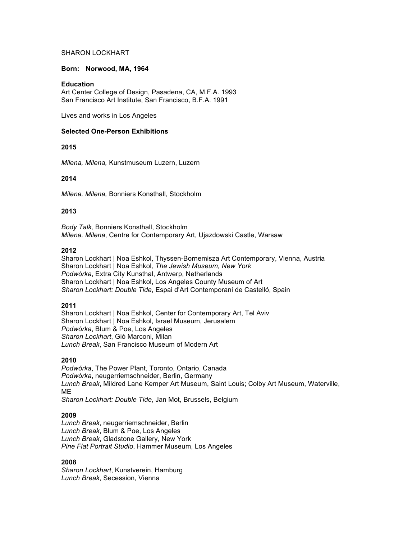# SHARON LOCKHART

## **Born: Norwood, MA, 1964**

## **Education**

Art Center College of Design, Pasadena, CA, M.F.A. 1993 San Francisco Art Institute, San Francisco, B.F.A. 1991

Lives and works in Los Angeles

## **Selected One-Person Exhibitions**

## **2015**

*Milena, Milena,* Kunstmuseum Luzern, Luzern

## **2014**

*Milena, Milena,* Bonniers Konsthall, Stockholm

## **2013**

*Body Talk,* Bonniers Konsthall, Stockholm *Milena, Milena*, Centre for Contemporary Art, Ujazdowski Castle, Warsaw

## **2012**

Sharon Lockhart | Noa Eshkol, Thyssen-Bornemisza Art Contemporary, Vienna, Austria Sharon Lockhart | Noa Eshkol*, The Jewish Museum, New York Podwórka*, Extra City Kunsthal, Antwerp, Netherlands Sharon Lockhart | Noa Eshkol, Los Angeles County Museum of Art *Sharon Lockhart: Double Tide*, Espai d'Art Contemporani de Castelló, Spain

## **2011**

Sharon Lockhart | Noa Eshkol, Center for Contemporary Art, Tel Aviv Sharon Lockhart | Noa Eshkol, Israel Museum, Jerusalem *Podwórka*, Blum & Poe, Los Angeles *Sharon Lockhart*, Gió Marconi, Milan *Lunch Break*, San Francisco Museum of Modern Art

## **2010**

*Podwórka*, The Power Plant, Toronto, Ontario, Canada *Podwórka*, neugerriemschneider, Berlin, Germany *Lunch Break*, Mildred Lane Kemper Art Museum, Saint Louis; Colby Art Museum, Waterville, ME *Sharon Lockhart: Double Tide*, Jan Mot, Brussels, Belgium

## **2009**

*Lunch Break*, neugerriemschneider, Berlin *Lunch Break*, Blum & Poe, Los Angeles *Lunch Break*, Gladstone Gallery, New York *Pine Flat Portrait Studio*, Hammer Museum, Los Angeles

## **2008**

*Sharon Lockhart*, Kunstverein, Hamburg *Lunch Break*, Secession, Vienna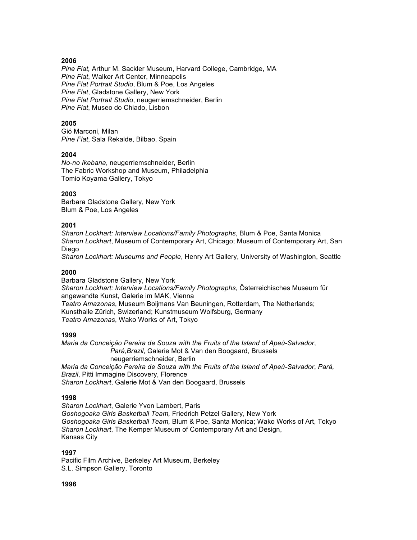## **2006**

*Pine Flat,* Arthur M. Sackler Museum, Harvard College, Cambridge, MA *Pine Flat*, Walker Art Center, Minneapolis *Pine Flat Portrait Studio*, Blum & Poe, Los Angeles *Pine Flat*, Gladstone Gallery, New York *Pine Flat Portrait Studio*, neugerriemschneider, Berlin *Pine Flat*, Museo do Chiado, Lisbon

## **2005**

Gió Marconi, Milan *Pine Flat*, Sala Rekalde, Bilbao, Spain

#### **2004**

*No-no Ikebana*, neugerriemschneider, Berlin The Fabric Workshop and Museum, Philadelphia Tomio Koyama Gallery, Tokyo

#### **2003**

Barbara Gladstone Gallery, New York Blum & Poe, Los Angeles

## **2001**

*Sharon Lockhart: Interview Locations/Family Photographs*, Blum & Poe, Santa Monica *Sharon Lockhart*, Museum of Contemporary Art, Chicago; Museum of Contemporary Art, San Diego

*Sharon Lockhart: Museums and People*, Henry Art Gallery, University of Washington, Seattle

#### **2000**

Barbara Gladstone Gallery, New York *Sharon Lockhart: Interview Locations/Family Photographs*, Österreichisches Museum für angewandte Kunst, Galerie im MAK, Vienna *Teatro Amazonas*, Museum Boijmans Van Beuningen, Rotterdam, The Netherlands; Kunsthalle Zürich, Swizerland; Kunstmuseum Wolfsburg, Germany *Teatro Amazonas*, Wako Works of Art, Tokyo

#### **1999**

*Maria da Conceição Pereira de Souza with the Fruits of the Island of Apeú-Salvador*, *Pará,Brazil*, Galerie Mot & Van den Boogaard, Brussels neugerriemschneider, Berlin *Maria da Conceição Pereira de Souza with the Fruits of the Island of Apeú-Salvador*, *Pará, Brazil*, Pitti Immagine Discovery, Florence *Sharon Lockhart*, Galerie Mot & Van den Boogaard, Brussels

#### **1998**

*Sharon Lockhart*, Galerie Yvon Lambert, Paris *Goshogoaka Girls Basketball Team,* Friedrich Petzel Gallery, New York *Goshogoaka Girls Basketball Team,* Blum & Poe, Santa Monica; Wako Works of Art, Tokyo *Sharon Lockhart*, The Kemper Museum of Contemporary Art and Design, Kansas City

## **1997**

Pacific Film Archive, Berkeley Art Museum, Berkeley S.L. Simpson Gallery, Toronto

#### **1996**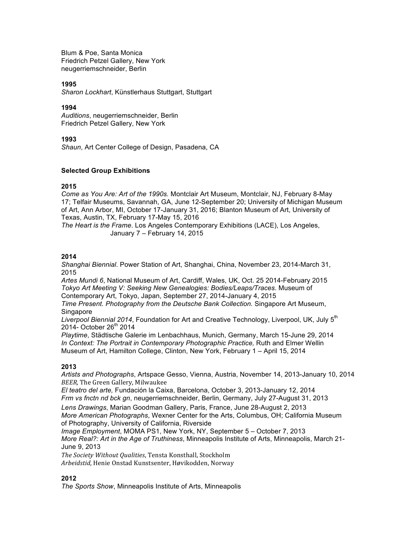Blum & Poe, Santa Monica Friedrich Petzel Gallery, New York neugerriemschneider, Berlin

## **1995**

*Sharon Lockhart*, Künstlerhaus Stuttgart, Stuttgart

#### **1994**

*Auditions*, neugerriemschneider, Berlin Friedrich Petzel Gallery, New York

#### **1993**

*Shaun*, Art Center College of Design, Pasadena, CA

## **Selected Group Exhibitions**

#### **2015**

*Come as You Are: Art of the 1990s.* Montclair Art Museum, Montclair, NJ, February 8-May 17; Telfair Museums, Savannah, GA, June 12-September 20; University of Michigan Museum of Art, Ann Arbor, MI, October 17-January 31, 2016; Blanton Museum of Art, University of Texas, Austin, TX, February 17-May 15, 2016

*The Heart is the Frame*. Los Angeles Contemporary Exhibitions (LACE), Los Angeles, January 7 – February 14, 2015

## **2014**

*Shanghai Biennial*. Power Station of Art, Shanghai, China, November 23, 2014-March 31, 2015

*Artes Mundi 6*, National Museum of Art, Cardiff, Wales, UK, Oct. 25 2014-February 2015 *Tokyo Art Meeting V: Seeking New Genealogies: Bodies/Leaps/Traces*. Museum of Contemporary Art, Tokyo, Japan, September 27, 2014-January 4, 2015

*Time Present. Photography from the Deutsche Bank Collection.* Singapore Art Museum, Singapore

Liverpool Biennial 2014, Foundation for Art and Creative Technology, Liverpool, UK, July 5<sup>th</sup>  $2014 -$  October  $26<sup>th</sup>$  2014

*Playtime*, Städtische Galerie im Lenbachhaus, Munich, Germany, March 15-June 29, 2014 *In Context: The Portrait in Contemporary Photographic Practice,* Ruth and Elmer Wellin Museum of Art, Hamilton College, Clinton, New York, February 1 – April 15, 2014

## **2013**

*Artists and Photographs*, Artspace Gesso, Vienna, Austria, November 14, 2013-January 10, 2014 **BEER**, The Green Gallery, Milwaukee

*El teatro del arte,* Fundación la Caixa, Barcelona, October 3, 2013-January 12, 2014 *Frm vs fnctn nd bck gn*, neugerriemschneider, Berlin, Germany, July 27-August 31, 2013 *Lens Drawings*, Marian Goodman Gallery, Paris, France, June 28-August 2, 2013

*More American Photographs*, Wexner Center for the Arts, Columbus, OH; California Museum of Photography, University of California, Riverside

*Image Employment*, MOMA PS1, New York, NY, September 5 – October 7, 2013 *More Real?: Art in the Age of Truthiness*, Minneapolis Institute of Arts, Minneapolis, March 21- June 9, 2013

The Society Without Qualities, Tensta Konsthall, Stockholm

*Arbeidstid*, Henie Onstad Kunstsenter, Høvikodden, Norway

## **2012**

*The Sports Show*, Minneapolis Institute of Arts, Minneapolis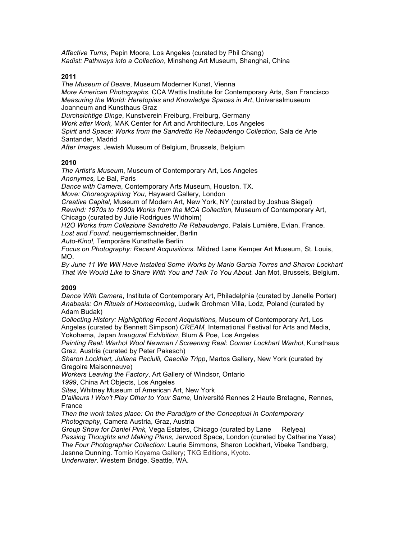*Affective Turns*, Pepin Moore, Los Angeles (curated by Phil Chang) *Kadist: Pathways into a Collection*, Minsheng Art Museum, Shanghai, China

# **2011**

*The Museum of Desire*, Museum Moderner Kunst, Vienna *More American Photographs*, CCA Wattis Institute for Contemporary Arts, San Francisco *Measuring the World: Heretopias and Knowledge Spaces in Art*, Universalmuseum Joanneum and Kunsthaus Graz *Durchsichtige Dinge*, Kunstverein Freiburg, Freiburg, Germany *Work after Work,* MAK Center for Art and Architecture, Los Angeles *Spirit and Space: Works from the Sandretto Re Rebaudengo Collection,* Sala de Arte Santander, Madrid *After Images*. Jewish Museum of Belgium, Brussels, Belgium

# **2010**

*The Artist's Museum*, Museum of Contemporary Art, Los Angeles *Anonymes,* Le Bal, Paris

*Dance with Camera*, Contemporary Arts Museum, Houston, TX.

*Move: Choreographing You*, Hayward Gallery, London

*Creative Capital*, Museum of Modern Art, New York, NY (curated by Joshua Siegel)

*Rewind: 1970s to 1990s Works from the MCA Collection,* Museum of Contemporary Art, Chicago (curated by Julie Rodrigues Widholm)

*H2O Works from Collezione Sandretto Re Rebaudengo*. Palais Lumière, Evian, France. *Lost and Found.* neugerriemschneider, Berlin

*Auto-Kino!,* Temporäre Kunsthalle Berlin

*Focus on Photography: Recent Acquisitions.* Mildred Lane Kemper Art Museum, St. Louis, MO.

*By June 11 We Will Have Installed Some Works by Mario Garcia Torres and Sharon Lockhart That We Would Like to Share With You and Talk To You About.* Jan Mot, Brussels, Belgium.

# **2009**

*Dance With Camera*, Institute of Contemporary Art, Philadelphia (curated by Jenelle Porter) *Anabasis: On Rituals of Homecoming*, Ludwik Grohman Villa*,* Lodz, Poland (curated by Adam Budak)

*Collecting History: Highlighting Recent Acquisitions,* Museum of Contemporary Art, Los Angeles (curated by Bennett Simpson) *CREAM,* International Festival for Arts and Media, Yokohama, Japan *Inaugural Exhibition*, Blum & Poe, Los Angeles

*Painting Real: Warhol Wool Newman / Screening Real: Conner Lockhart Warhol*, Kunsthaus Graz, Austria (curated by Peter Pakesch)

*Sharon Lockhart, Juliana Paciulli, Caecilia Tripp*, Martos Gallery, New York (curated by Gregoire Maisonneuve)

*Workers Leaving the Factory*, Art Gallery of Windsor, Ontario

*1999*, China Art Objects, Los Angeles

*Sites*, Whitney Museum of American Art, New York

*D'ailleurs I Won't Play Other to Your Same*, Université Rennes 2 Haute Bretagne, Rennes, France

*Then the work takes place: On the Paradigm of the Conceptual in Contemporary Photography*, Camera Austria, Graz, Austria

*Group Show for Daniel Pink, Vega Estates, Chicago (curated by Lane Relyea) Passing Thoughts and Making Plans*, Jerwood Space, London (curated by Catherine Yass) *The Four Photographer Collection:* Laurie Simmons, Sharon Lockhart, Vibeke Tandberg, Jesnne Dunning*.* Tomio Koyama Gallery; TKG Editions, Kyoto.

*Underwater*. Western Bridge, Seattle, WA.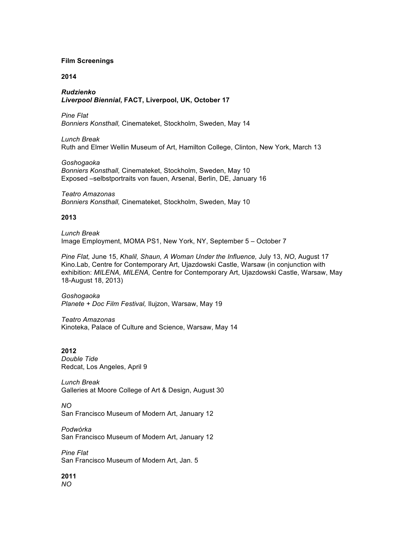#### **Film Screenings**

#### **2014**

*Rudzienko Liverpool Biennial***, FACT, Liverpool, UK, October 17**

*Pine Flat Bonniers Konsthall,* Cinemateket, Stockholm, Sweden, May 14

*Lunch Break* Ruth and Elmer Wellin Museum of Art, Hamilton College, Clinton, New York, March 13

*Goshogaoka Bonniers Konsthall,* Cinemateket, Stockholm, Sweden, May 10 Exposed –selbstportraits von fauen, Arsenal, Berlin, DE, January 16

*Teatro Amazonas Bonniers Konsthall,* Cinemateket, Stockholm, Sweden, May 10

## **2013**

*Lunch Break* Image Employment, MOMA PS1, New York, NY, September 5 – October 7

*Pine Flat,* June 15, *Khalil, Shaun, A Woman Under the Influence,* July 13, *NO*, August 17 Kino.Lab, Centre for Contemporary Art, Ujazdowski Castle, Warsaw (in conjunction with exhibition: *MILENA, MILENA,* Centre for Contemporary Art, Ujazdowski Castle, Warsaw, May 18-August 18, 2013)

*Goshogaoka Planete + Doc Film Festival,* Ilujzon, Warsaw, May 19

*Teatro Amazonas* Kinoteka, Palace of Culture and Science, Warsaw, May 14

**2012**

*Double Tide* Redcat, Los Angeles, April 9

*Lunch Break* Galleries at Moore College of Art & Design, August 30

*NO* San Francisco Museum of Modern Art, January 12

*Podwórka* San Francisco Museum of Modern Art, January 12

*Pine Flat* San Francisco Museum of Modern Art, Jan. 5

**2011** *NO*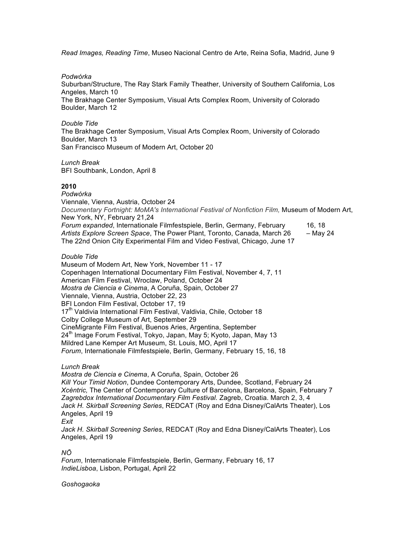*Read Images, Reading Time*, Museo Nacional Centro de Arte, Reina Sofia, Madrid, June 9

#### *Podwórka*

Suburban/Structure, The Ray Stark Family Theather, University of Southern California, Los Angeles, March 10 The Brakhage Center Symposium, Visual Arts Complex Room, University of Colorado Boulder, March 12

### *Double Tide*

The Brakhage Center Symposium, Visual Arts Complex Room, University of Colorado Boulder, March 13 San Francisco Museum of Modern Art, October 20

*Lunch Break* BFI Southbank, London, April 8

## **2010**

*Podwórka* Viennale, Vienna, Austria, October 24 *Documentary Fortnight: MoMA's International Festival of Nonfiction Film,* Museum of Modern Art, New York, NY, February 21,24 *Forum expanded*, Internationale Filmfestspiele, Berlin, Germany, February 16, 18 *Artists Explore Screen Space*, The Power Plant, Toronto, Canada, March 26 – May 24 The 22nd Onion City Experimental Film and Video Festival, Chicago, June 17

#### *Double Tide*

Museum of Modern Art, New York, November 11 - 17 Copenhagen International Documentary Film Festival, November 4, 7, 11 American Film Festival, Wroclaw, Poland, October 24 *Mostra de Ciencia e Cinema*, A Coruña, Spain, October 27 Viennale, Vienna, Austria, October 22, 23 BFI London Film Festival, October 17, 19 17<sup>th</sup> Valdivia International Film Festival, Valdivia, Chile, October 18 Colby College Museum of Art, September 29 CineMigrante Film Festival, Buenos Aries, Argentina, September 24<sup>th</sup> Image Forum Festival, Tokyo, Japan, May 5; Kyoto, Japan, May 13 Mildred Lane Kemper Art Museum, St. Louis, MO, April 17 *Forum*, Internationale Filmfestspiele, Berlin, Germany, February 15, 16, 18

#### *Lunch Break*

*Mostra de Ciencia e Cinema*, A Coruña, Spain, October 26 *Kill Your Timid Notion*, Dundee Contemporary Arts, Dundee, Scotland, February 24 *Xcèntric,* The Center of Contemporary Culture of Barcelona, Barcelona, Spain, February 7 *Zagrebdox International Documentary Film Festival.* Zagreb, Croatia. March 2, 3, 4 *Jack H. Skirball Screening Series*, REDCAT (Roy and Edna Disney/CalArts Theater), Los Angeles, April 19

# *Exit*

*Jack H. Skirball Screening Series*, REDCAT (Roy and Edna Disney/CalArts Theater), Los Angeles, April 19

#### *NŌ*

*Forum*, Internationale Filmfestspiele, Berlin, Germany, February 16, 17 *IndieLisboa*, Lisbon, Portugal, April 22

#### *Goshogaoka*